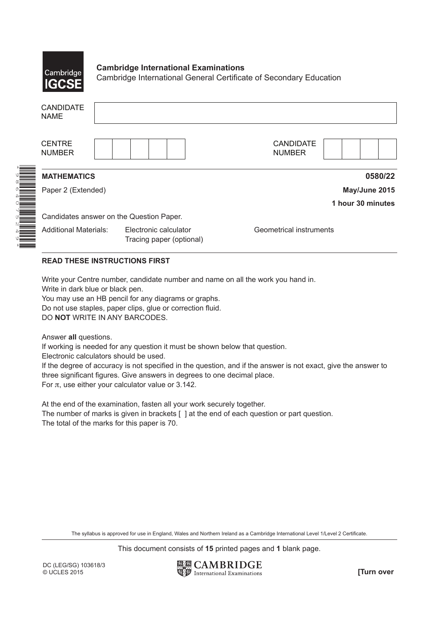

\*6  $^\alpha$ 640 $\overline{\phantom{0}}$ 5N, 46 \*

## **Cambridge International Examinations**

Cambridge International General Certificate of Secondary Education

| <b>CANDIDATE</b><br><b>NAME</b>          |                                                   |                                   |  |  |  |  |  |
|------------------------------------------|---------------------------------------------------|-----------------------------------|--|--|--|--|--|
| <b>CENTRE</b><br><b>NUMBER</b>           |                                                   | <b>CANDIDATE</b><br><b>NUMBER</b> |  |  |  |  |  |
| <b>MATHEMATICS</b>                       |                                                   | 0580/22                           |  |  |  |  |  |
| Paper 2 (Extended)                       |                                                   | May/June 2015                     |  |  |  |  |  |
|                                          |                                                   | 1 hour 30 minutes                 |  |  |  |  |  |
| Candidates answer on the Question Paper. |                                                   |                                   |  |  |  |  |  |
| <b>Additional Materials:</b>             | Electronic calculator<br>Tracing paper (optional) | Geometrical instruments           |  |  |  |  |  |

## **READ THESE INSTRUCTIONS FIRST**

Write your Centre number, candidate number and name on all the work you hand in.

Write in dark blue or black pen.

You may use an HB pencil for any diagrams or graphs. Do not use staples, paper clips, glue or correction fluid. DO **NOT** WRITE IN ANY BARCODES.

Answer **all** questions.

If working is needed for any question it must be shown below that question.

Electronic calculators should be used.

If the degree of accuracy is not specified in the question, and if the answer is not exact, give the answer to three significant figures. Give answers in degrees to one decimal place. For  $\pi$ , use either your calculator value or 3.142.

At the end of the examination, fasten all your work securely together. The number of marks is given in brackets [ ] at the end of each question or part question. The total of the marks for this paper is 70.

The syllabus is approved for use in England, Wales and Northern Ireland as a Cambridge International Level 1/Level 2 Certificate.

This document consists of **15** printed pages and **1** blank page.

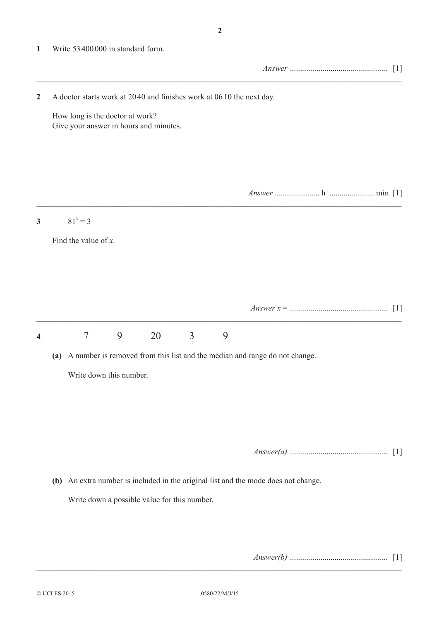**1** Write 53400 000 in standard form.

|                |                                                                      |                                                                           |   |    |                |   |                                                                                    |  | $[1]$ |
|----------------|----------------------------------------------------------------------|---------------------------------------------------------------------------|---|----|----------------|---|------------------------------------------------------------------------------------|--|-------|
| $\overline{2}$ | A doctor starts work at 2040 and finishes work at 0610 the next day. |                                                                           |   |    |                |   |                                                                                    |  |       |
|                |                                                                      | How long is the doctor at work?<br>Give your answer in hours and minutes. |   |    |                |   |                                                                                    |  |       |
|                |                                                                      |                                                                           |   |    |                |   |                                                                                    |  |       |
| $\mathbf{3}$   |                                                                      | $81^x = 3$                                                                |   |    |                |   |                                                                                    |  |       |
|                |                                                                      | Find the value of $x$ .                                                   |   |    |                |   |                                                                                    |  |       |
|                |                                                                      |                                                                           |   |    |                |   |                                                                                    |  |       |
|                |                                                                      |                                                                           |   |    |                |   |                                                                                    |  |       |
|                |                                                                      |                                                                           |   |    |                |   |                                                                                    |  |       |
| 4              |                                                                      | $\overline{7}$                                                            | 9 | 20 | $\overline{3}$ | 9 |                                                                                    |  |       |
|                | (a)                                                                  |                                                                           |   |    |                |   | A number is removed from this list and the median and range do not change.         |  |       |
|                |                                                                      | Write down this number.                                                   |   |    |                |   |                                                                                    |  |       |
|                |                                                                      |                                                                           |   |    |                |   |                                                                                    |  |       |
|                |                                                                      |                                                                           |   |    |                |   |                                                                                    |  |       |
|                |                                                                      |                                                                           |   |    |                |   |                                                                                    |  |       |
|                |                                                                      |                                                                           |   |    |                |   | (b) An extra number is included in the original list and the mode does not change. |  |       |
|                |                                                                      | Write down a possible value for this number.                              |   |    |                |   |                                                                                    |  |       |
|                |                                                                      |                                                                           |   |    |                |   |                                                                                    |  |       |
|                |                                                                      |                                                                           |   |    |                |   |                                                                                    |  |       |

*Answer(b)* ................................................ [1]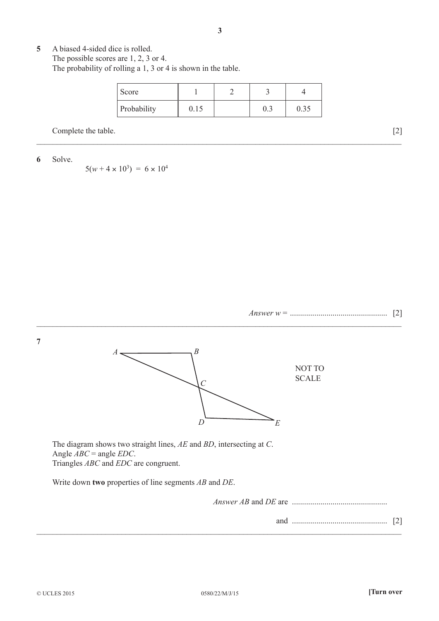**5** A biased 4-sided dice is rolled. The possible scores are 1, 2, 3 or 4. The probability of rolling a 1, 3 or 4 is shown in the table.

| Score       |      |  |  |
|-------------|------|--|--|
| Probability | 0.IS |  |  |

\_\_\_\_\_\_\_\_\_\_\_\_\_\_\_\_\_\_\_\_\_\_\_\_\_\_\_\_\_\_\_\_\_\_\_\_\_\_\_\_\_\_\_\_\_\_\_\_\_\_\_\_\_\_\_\_\_\_\_\_\_\_\_\_\_\_\_\_\_\_\_\_\_\_\_\_\_\_\_\_\_\_\_\_\_\_\_\_\_\_

Complete the table. [2]

**6** Solve.

 $5(w+4 \times 10^3) = 6 \times 10^4$ 



**7**



\_\_\_\_\_\_\_\_\_\_\_\_\_\_\_\_\_\_\_\_\_\_\_\_\_\_\_\_\_\_\_\_\_\_\_\_\_\_\_\_\_\_\_\_\_\_\_\_\_\_\_\_\_\_\_\_\_\_\_\_\_\_\_\_\_\_\_\_\_\_\_\_\_\_\_\_\_\_\_\_\_\_\_\_\_\_\_\_\_\_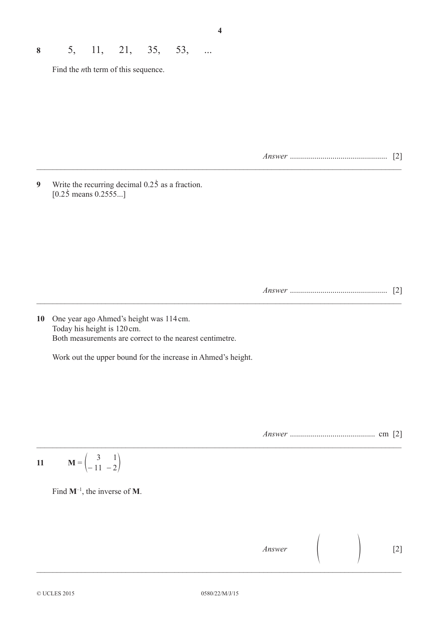Find the *n*th term of this sequence.

*Answer* ................................................ [2]

**9** Write the recurring decimal  $0.2\overline{5}$  as a fraction.  $[0.25$  means  $0.2555...]$ 

*Answer* ................................................ [2]

**10** One year ago Ahmed's height was 114cm. Today his height is 120cm. Both measurements are correct to the nearest centimetre.

Work out the upper bound for the increase in Ahmed's height.

*Answer* .......................................... cm [2]

$$
11 \qquad M = \begin{pmatrix} 3 & 1 \\ -11 & -2 \end{pmatrix}
$$

Find **M**–1, the inverse of **M**.

*Answer* [2]

 $\mathcal{L}_\mathcal{L} = \mathcal{L}_\mathcal{L} = \mathcal{L}_\mathcal{L} = \mathcal{L}_\mathcal{L} = \mathcal{L}_\mathcal{L} = \mathcal{L}_\mathcal{L} = \mathcal{L}_\mathcal{L} = \mathcal{L}_\mathcal{L} = \mathcal{L}_\mathcal{L} = \mathcal{L}_\mathcal{L} = \mathcal{L}_\mathcal{L} = \mathcal{L}_\mathcal{L} = \mathcal{L}_\mathcal{L} = \mathcal{L}_\mathcal{L} = \mathcal{L}_\mathcal{L} = \mathcal{L}_\mathcal{L} = \mathcal{L}_\mathcal{L}$ 

\_\_\_\_\_\_\_\_\_\_\_\_\_\_\_\_\_\_\_\_\_\_\_\_\_\_\_\_\_\_\_\_\_\_\_\_\_\_\_\_\_\_\_\_\_\_\_\_\_\_\_\_\_\_\_\_\_\_\_\_\_\_\_\_\_\_\_\_\_\_\_\_\_\_\_\_\_\_\_\_\_\_\_\_\_\_\_\_\_\_

 $\_$ 

 $\_$  , and the set of the set of the set of the set of the set of the set of the set of the set of the set of the set of the set of the set of the set of the set of the set of the set of the set of the set of the set of th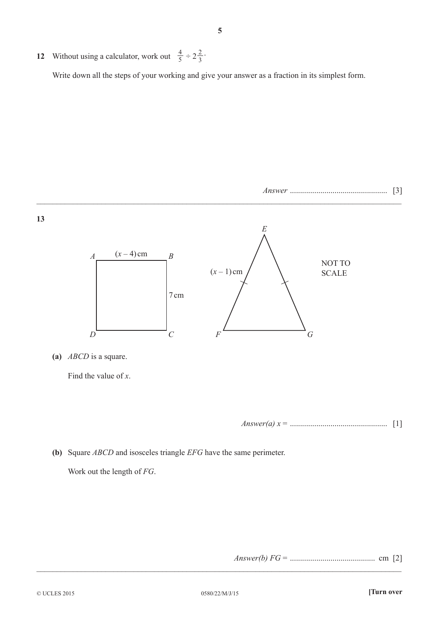**12** Without using a calculator, work out  $\frac{4}{5} \div 2\frac{2}{3}$ . Write down all the steps of your working and give your answer as a fraction in its simplest form.



Find the value of *x*.

*Answer(a) x* = ................................................ [1]

**(b)** Square *ABCD* and isosceles triangle *EFG* have the same perimeter.

Work out the length of *FG*.

*Answer(b) FG* = .......................................... cm [2]

\_\_\_\_\_\_\_\_\_\_\_\_\_\_\_\_\_\_\_\_\_\_\_\_\_\_\_\_\_\_\_\_\_\_\_\_\_\_\_\_\_\_\_\_\_\_\_\_\_\_\_\_\_\_\_\_\_\_\_\_\_\_\_\_\_\_\_\_\_\_\_\_\_\_\_\_\_\_\_\_\_\_\_\_\_\_\_\_\_\_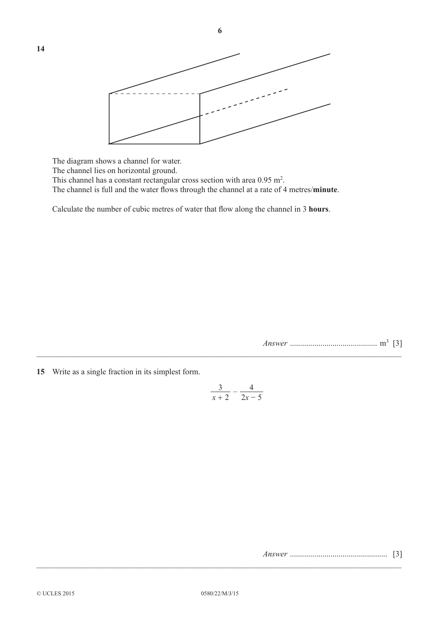

The diagram shows a channel for water.

The channel lies on horizontal ground.

This channel has a constant rectangular cross section with area  $0.95 \text{ m}^2$ .

The channel is full and the water flows through the channel at a rate of 4 metres/**minute**.

Calculate the number of cubic metres of water that flow along the channel in 3 **hours**.

*Answer* ........................................... m3 [3]

**15** Write as a single fraction in its simplest form.

$$
\frac{3}{x+2} - \frac{4}{2x-5}
$$

 $\_$  , and the set of the set of the set of the set of the set of the set of the set of the set of the set of the set of the set of the set of the set of the set of the set of the set of the set of the set of the set of th

*Answer* ................................................ [3] \_\_\_\_\_\_\_\_\_\_\_\_\_\_\_\_\_\_\_\_\_\_\_\_\_\_\_\_\_\_\_\_\_\_\_\_\_\_\_\_\_\_\_\_\_\_\_\_\_\_\_\_\_\_\_\_\_\_\_\_\_\_\_\_\_\_\_\_\_\_\_\_\_\_\_\_\_\_\_\_\_\_\_\_\_\_\_\_\_\_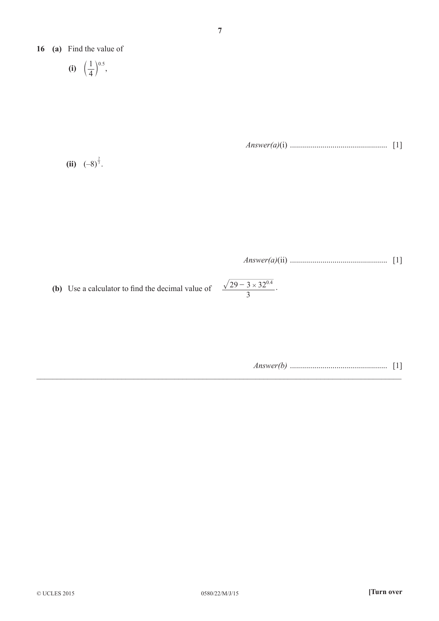**16 (a)** Find the value of

$$
(i) \quad \left(\frac{1}{4}\right)^{0.5},
$$

*Answer(a)*(i) ................................................ [1]

**(ii)**  $(-8)^{\frac{2}{3}}$ .

*Answer(a)*(ii) ................................................ [1]

0.4

**(b)** Use a calculator to find the decimal value of  $\frac{29 - 3 \times 32^{0.4}}{3}$ .

$$
Answer(b) \dots \dots \dots \dots \dots \dots \dots \dots \quad [1]
$$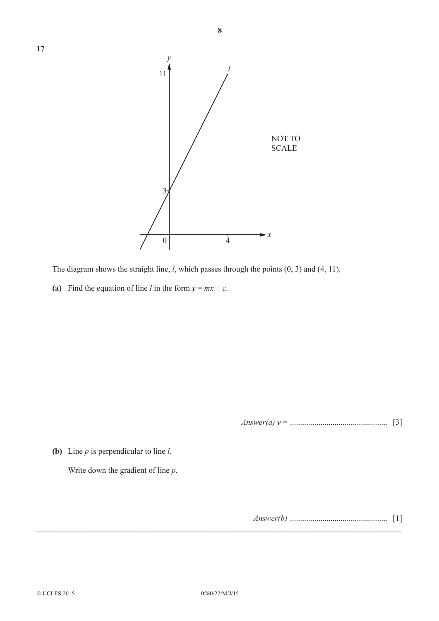

The diagram shows the straight line, *l*, which passes through the points (0, 3) and (4, 11).

(a) Find the equation of line *l* in the form  $y = mx + c$ .

*Answer(a) y* = ................................................ [3]

**(b)** Line *p* is perpendicular to line *l*.

Write down the gradient of line *p*.

*Answer(b)* ................................................ [1]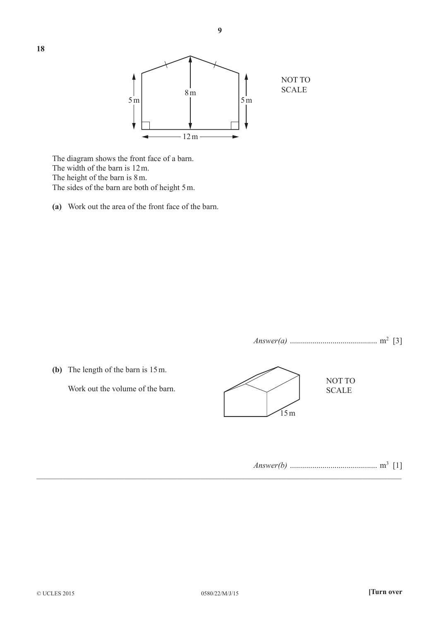

 The diagram shows the front face of a barn. The width of the barn is 12m. The height of the barn is 8m. The sides of the barn are both of height 5m.

**(a)** Work out the area of the front face of the barn.

*Answer(a)* ........................................... m2 [3]

**(b)** The length of the barn is 15m.

Work out the volume of the barn.



*Answer(b)* ........................................... m3 [1]

 $\mathcal{L}_\mathcal{L} = \mathcal{L}_\mathcal{L} = \mathcal{L}_\mathcal{L} = \mathcal{L}_\mathcal{L} = \mathcal{L}_\mathcal{L} = \mathcal{L}_\mathcal{L} = \mathcal{L}_\mathcal{L} = \mathcal{L}_\mathcal{L} = \mathcal{L}_\mathcal{L} = \mathcal{L}_\mathcal{L} = \mathcal{L}_\mathcal{L} = \mathcal{L}_\mathcal{L} = \mathcal{L}_\mathcal{L} = \mathcal{L}_\mathcal{L} = \mathcal{L}_\mathcal{L} = \mathcal{L}_\mathcal{L} = \mathcal{L}_\mathcal{L}$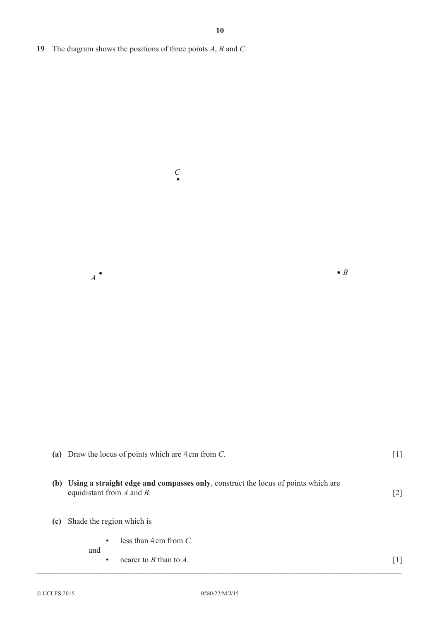*<sup>A</sup> <sup>B</sup>*

**19** The diagram shows the positions of three points *A*, *B* and *C*.

*C*

|     | (a) Draw the locus of points which are $4 \text{ cm}$ from C.                                                           | $[1]$             |
|-----|-------------------------------------------------------------------------------------------------------------------------|-------------------|
|     | (b) Using a straight edge and compasses only, construct the locus of points which are<br>equidistant from $A$ and $B$ . | $\lceil 2 \rceil$ |
| (c) | Shade the region which is                                                                                               |                   |
|     | less than $4 \text{ cm}$ from $C$<br>$\bullet$<br>and                                                                   |                   |
|     | nearer to $B$ than to $A$ .<br>٠                                                                                        | $\lceil 1 \rceil$ |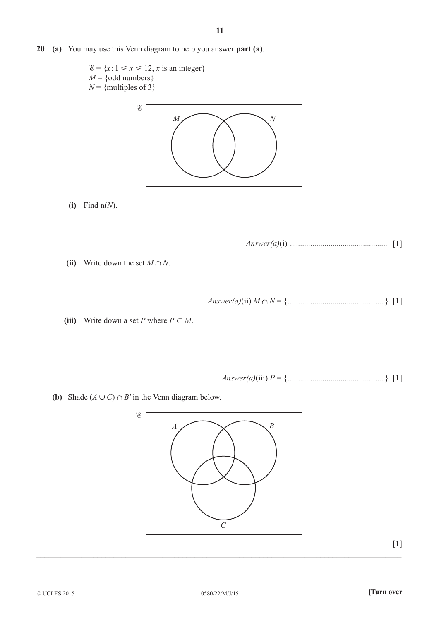**20 (a)** You may use this Venn diagram to help you answer **part (a)**.



**(i)** Find n(*N*).

*Answer(a)*(i) ................................................ [1]

**(ii)** Write down the set  $M \cap N$ .

- *Answer(a)*(ii) *M N* = {............................................... } [1]
- (iii) Write down a set *P* where  $P \subset M$ .

Answer(a)(iii) 
$$
P = \{
$$

**(b)** Shade  $(A \cup C) \cap B'$  in the Venn diagram below.

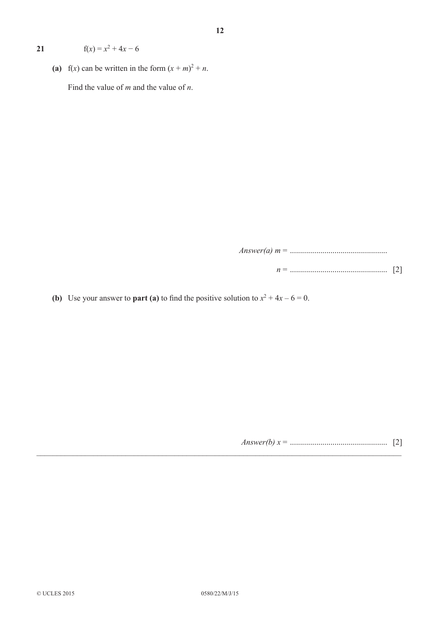**21**  $f(x) = x^2 + 4x - 6$ 

(a)  $f(x)$  can be written in the form  $(x + m)^2 + n$ . Find the value of *m* and the value of *n*.

*Answer(a) m* = ................................................

- *n* = ................................................ [2]
- **(b)** Use your answer to **part (a)** to find the positive solution to  $x^2 + 4x 6 = 0$ .

*Answer(b) x* = ................................................ [2]

\_\_\_\_\_\_\_\_\_\_\_\_\_\_\_\_\_\_\_\_\_\_\_\_\_\_\_\_\_\_\_\_\_\_\_\_\_\_\_\_\_\_\_\_\_\_\_\_\_\_\_\_\_\_\_\_\_\_\_\_\_\_\_\_\_\_\_\_\_\_\_\_\_\_\_\_\_\_\_\_\_\_\_\_\_\_\_\_\_\_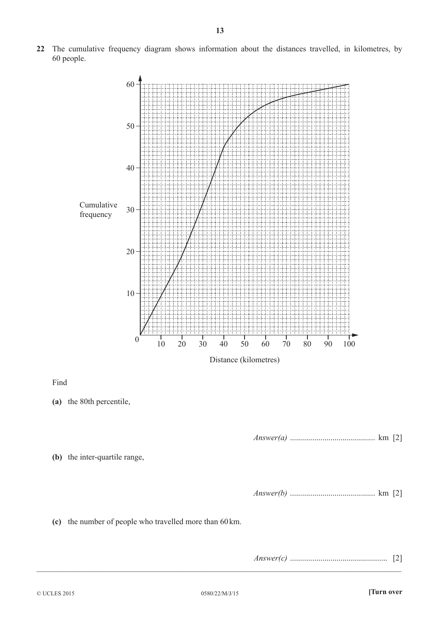**22** The cumulative frequency diagram shows information about the distances travelled, in kilometres, by 60 people.

**(c)** the number of people who travelled more than 60km.

*Answer(c)* ................................................ [2]

Find

 $\_$  , and the set of the set of the set of the set of the set of the set of the set of the set of the set of the set of the set of the set of the set of the set of the set of the set of the set of the set of the set of th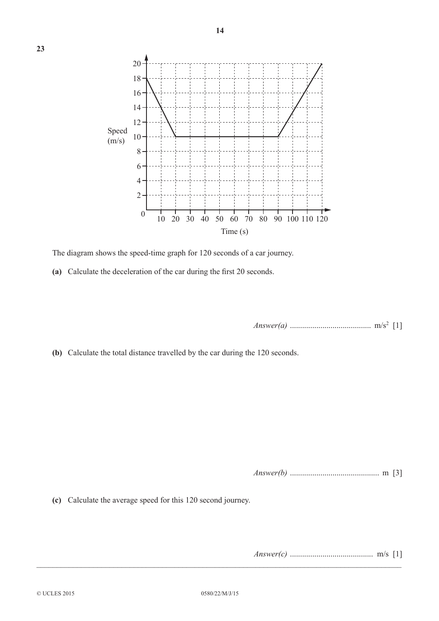

The diagram shows the speed-time graph for 120 seconds of a car journey.

**(a)** Calculate the deceleration of the car during the first 20 seconds.

*Answer(a)* ........................................ m/s2 [1]

**(b)** Calculate the total distance travelled by the car during the 120 seconds.

*Answer(b)* ............................................ m [3]

**(c)** Calculate the average speed for this 120 second journey.

*Answer(c)* ......................................... m/s [1]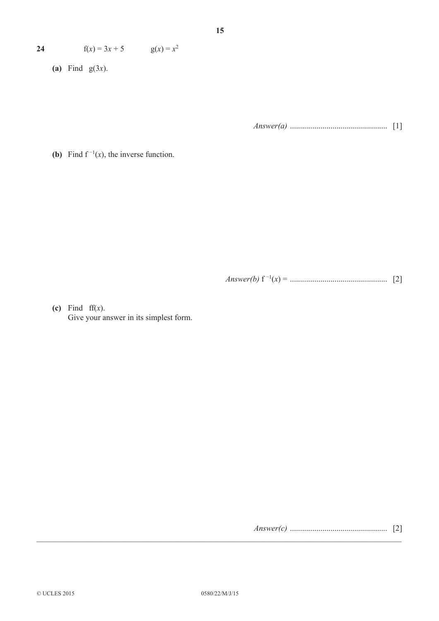| $g(x) = x^2$ |  |
|--------------|--|
|              |  |

**(a)** Find g(3*x*).

*Answer(a)* ................................................ [1]

**(b)** Find  $f^{-1}(x)$ , the inverse function.

*Answer(b)* f −1(*x*) = ................................................ [2]

**(c)** Find ff(*x*). Give your answer in its simplest form.

*Answer(c)* ................................................ [2]